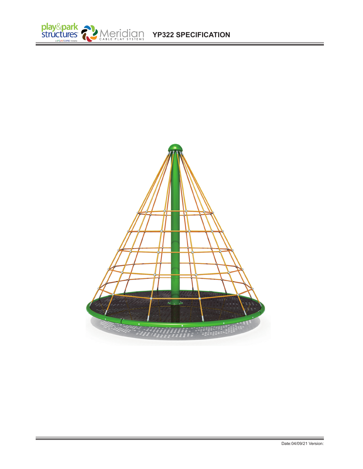

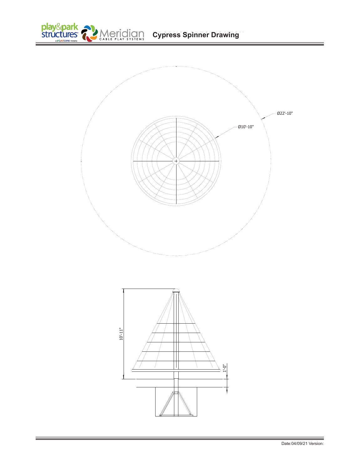